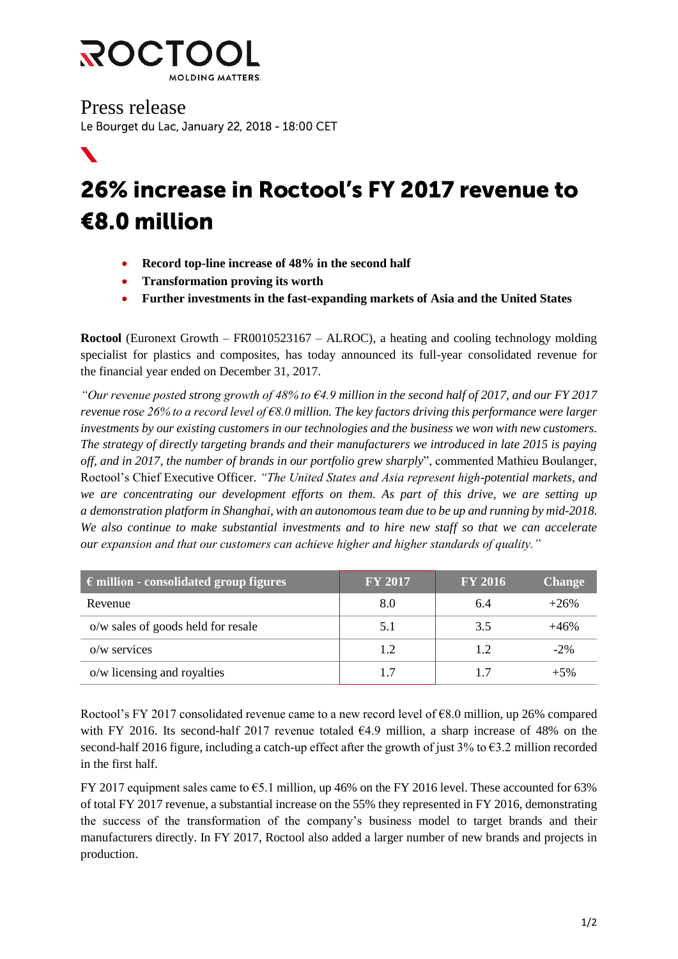

 $\blacktriangledown$ 

Press release Le Bourget du Lac, January 22, 2018 - 18:00 CET

## 26% increase in Roctool's FY 2017 revenue to €8.0 million

- Record top-line increase of 48% in the second half
- **Transformation proving its worth**
- **Further investments in the fast-expanding markets of Asia and the United States**

**Roctool** (Euronext Growth – FR0010523167 – ALROC), a heating and cooling technology molding specialist for plastics and composites, has today announced its full-year consolidated revenue for the financial year ended on December 31, 2017.

*"Our revenue posted strong growth of 48% to €4.9 million in the second half of 2017, and our FY 2017 revenue rose 26% to a record level of €8.0 million. The key factors driving this performance were larger investments by our existing customers in our technologies and the business we won with new customers. The strategy of directly targeting brands and their manufacturers we introduced in late 2015 is paying off, and in 2017, the number of brands in our portfolio grew sharply*", commented Mathieu Boulanger, Roctool's Chief Executive Officer. *"The United States and Asia represent high-potential markets, and we are concentrating our development efforts on them. As part of this drive, we are setting up a demonstration platform in Shanghai, with an autonomous team due to be up and running by mid-2018. We also continue to make substantial investments and to hire new staff so that we can accelerate our expansion and that our customers can achieve higher and higher standards of quality."* 

| $\epsilon$ million - consolidated group figures | <b>FY 2017</b> | <b>FY 2016</b> | <b>Change</b> |
|-------------------------------------------------|----------------|----------------|---------------|
| Revenue                                         | 8.0            | 6.4            | $+26%$        |
| o/w sales of goods held for resale              | 5.1            | 3.5            | +46%          |
| $o/w$ services                                  | 1.2            | 1.2            | $-2\%$        |
| o/w licensing and royalties                     | 1.7            | 17             | $+5%$         |

Roctool's FY 2017 consolidated revenue came to a new record level of  $68.0$  million, up 26% compared with FY 2016. Its second-half 2017 revenue totaled €4.9 million, a sharp increase of 48% on the second-half 2016 figure, including a catch-up effect after the growth of just  $3\%$  to  $\epsilon$ 3.2 million recorded in the first half.

FY 2017 equipment sales came to €5.1 million, up 46% on the FY 2016 level. These accounted for 63% of total FY 2017 revenue, a substantial increase on the 55% they represented in FY 2016, demonstrating the success of the transformation of the company's business model to target brands and their manufacturers directly. In FY 2017, Roctool also added a larger number of new brands and projects in production.